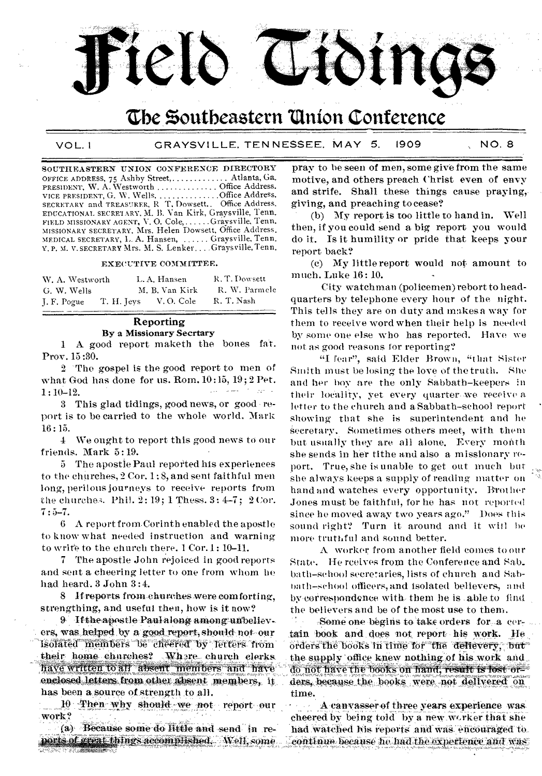

## the Southeastern Union Conference

SOUTHEASTERN UNION CONFERENCE DIRECTORY OFFICE ADDRESS, 75 Ashby Street, ............. Atlanta, Ga. PRESIDENT, W. A. Westworth ............... Office Address. VICE PRESIDENT, G. W. Wells. . . . . . . . . . . . . . . Office Address.<br>SECRETARY and TREASTRER, R. T. Dowsett. . Office Address. EDUCATIONAL SECRE1ARY, M. B. Van Kirk, Graysville, Tenn. FIELD MISSIONARY AGENT, V. O. Cole, ...... Graysville, Tenn. MISSIONARY SECRETARY, Mrs. Helen Dowsett, Office Address. MEDICAL SECRETARY, L. A. Hansen, ...... Graysville, Tenn. Y. P. M. V. SECRETARY Mrs. M. S. Lenker... Graysville, Tenn.

#### EXECUTIVE COMMITTEE.

| W. A. Westworth |            | L.A. Hansen    | R.T.Dowsett   |
|-----------------|------------|----------------|---------------|
| G. W. Wells     |            | M. B. Van Kirk | R. W. Parmele |
| I. F. Pogue     | T. H. Jeys | V.O. Cole      | R. T. Nash    |

### Reporting By a Missionary Secrtary

1 A good report maketh the bones fat. Prov. 15:30.

2 The gospel is the good report to men of what God has done for us. Rom. 10:15, 19; 2 Pet. 1:10-12.

3 This glad tidings, good news, or good report is to he carried to the whole world, Mark 16:15.

4 We ought to report this good news to our friends. Mark 5:19.

5 The apostle Paul reported his experiences to the churches, 2 Cor. 1: 8, and sent faithful men long, perilous journeys to receive reports from the churches. Phil.  $2: 19; 1$  Thess.  $3: 4-7; 2$  Cor. 7:5-7.

6 A report from. Corinth enabled the apostle to know what needed instruction and warning to write to the church there. 1 Cor. 1: 10-11.

7 The apostle John rejoiced in good reports and sent a cheering letter to one from whom he had heard. 3 John 3:4.

8 If reports from churches were comforting. strengthing, and useful then, how is it now?

9. If the apostle Paul along among unbeliev-. ers, was helped by a good report, should not-our Isolated members be cheered by letters from their home churches? Where church clerks. have written to all absent members and have enclosed letters from other absent members, it has been a source of strength to all.

nas been a source of strength to all.<br>  $\frac{10}{10}$  Then, why should we not report our work?<br>
(a) Because some do little and send in re-

(a) Because some do little and send in reports of great things accomplished. Well, some

pray to be seen of men, some give from the same motive, and others preach Christ even of envy and strife. Shall these things cause praying, giving, and preaching to cease?

(b) My report is too little to hand in. Well then, if you could send a big report you would do it. Is it humility or pride that keeps your report back?

(c) My little report would not amount to much. Luke 16: 10.

City watchman (pol icemen) rebort to headquarters by telephone every hour of the night. This tells they are on duty and makes a way for them to receive word when their help is needed by some one else who has reported. Have we not as good reasons for reporting?

"I fear", said Elder Brown, "that Sister Smith must be losing the love of the truth. She and her boy are the only Sabbath-keepers in their locality, yet every quarter-we receive a letter to the church and a Sabbath-school report showing that she is superintendent and he secretary. Sometimes others meet, with them but usually they are all alone. Every month she sends in her tithe and also a missionary report. True, she is unable to get out much but she always keeps a supply of reading matter on hand and watches every opportunity. Brother Jones must be faithful, for he has not reported since he moved away two years ago." Does this sound right? Turn it around and it will be more truthful and sound better.

A worker from another field comes to our State. He regives from the Conference and Sab. bath-school secretaries, lists of church and Sabbath-school officers, and isolated believers, and by correspondence with, them he is able to find the believers and be of the most use to them.

Some one begins to take orders for a certain book and does not report his work. He orders the books in time for the delievery, but the supply office knew nothing of his work and do not have the books on hand, result is lost orders, because the books were not delivered on time.

A canvasser of three years experience was: cheered by being told by a new worker that she had watched his reports and was encouraged to continue because he had the experience and was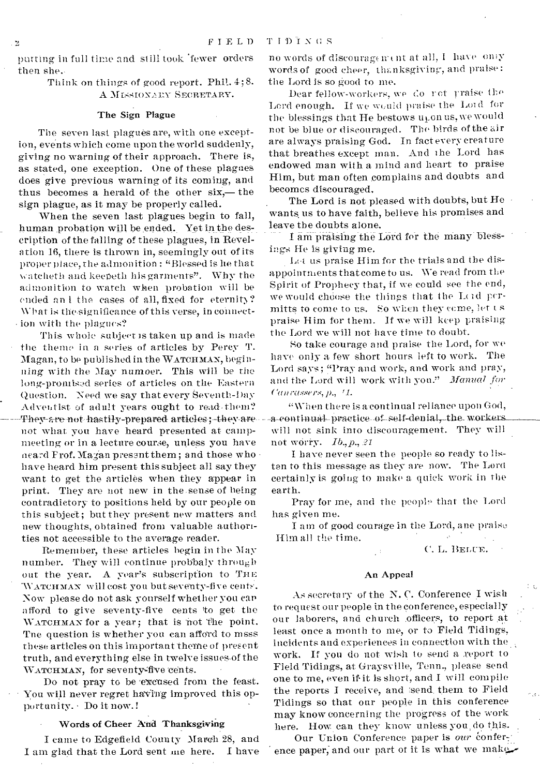putting in full time and still took fewer orders then she.-

> Think on things of good report. Phil. 4;8. A MISSIONARY SECRETARY.

### The Sign Plague

The seven last plagues are, with one exception, events which come upon the world suddenly, giving no warning of their approach. There is, as stated, one exception. One of these plagues does give previous warning of its coming, and thus becomes a herald of the other six,— the sign plague, as it may be properly called.

When the seven last plagues begin to fall, human probation will be ended. Yet in the description of the falling of these plagues, in Revelation 16, there is thrown in, seemingly out of its proper place, the admonition : "Blessed is he that watcheth and keepeth his garments". Why the admonition to watch when probation will be ended an I the cases of all, fixed for eternity? What is the-significance of this verse, in connection with the plagues?

This whole subject is taken up and is made the theme in a series of articles by Percy T. Magan, to be published in the WATCHMAN, beginning with the May numoer. This will be the long-promised series of articles on the Eastern Question. Need we say that every Seventh-Day Adventist of adult years ought to read them? They are not hastily-prepared articles; they are not what you have heard presented at campmeeting or in a lecture course, unless you have neard Frof. Magan present them ; and those who have heard him present this subject all say they want to get the articles when they appear in print. They are not new in the -sense of being contradictory to positions held by our people on this subject; but they present new matters and new thoughts, obtained from valuable authorities not accessible to the average reader.

Remember, these articles begin in the May number. They will continue probbaly through out the year. A year's subscription to THE WATCHMAN will cost you but seventy-five cents. Now please do not ask yourself whether you car afford to give seventy-five cents 'to get the WATCHMAN for a year; that is not the point. Tne question is whether you can afford to msss these articles on this important theme of present truth, and everything else in twelve issues-of the WATCHMAN, for seventy-five cents.

Do not pray to be 'excused from the feast. You will never regret having improved this opportunity. • Do it now.!

### Words of Cheer And Thanksgiving

I came to Edgefield County March 28, and I am glad that the Lord sent me here. I have

no words of discouragement at all, I have only words of good cheer, thanksgiving, and praise: the Lord is so good to me.

Dear fellow-workers, we do not praise the Lord enough. If we would praise the Lord for the blessings that He bestows  $u_k$  on us, we would not be blue or discouraged. The birds of the air are always praising God. In fact every creature that breathes except man. And the Lord has endowed man with a mind and heart to praise Him, but man often complains and doubts and becomes discouraged.

The Lord is not pleased with doubts, but He wants us to have faith, believe his promises and leave the doubts alone.

I am praising the Lord for the many blessings He is giving me.

Let us praise Him for the trials and the disappointments that come to us. We read from the Spirit of Prophecy that, if we could see the end, we would choose the things that the Lcid permitts to come to us. So when they come, let us praise Him for them. If we will keep praising the Lord we will not have time to doubt.

So take courage and praise the Lord, for we have only a few short hours left to work. The Lord says; "Pray and work, and work and pray, and the Lord will work with you." Manual for  $Canr$ *dssers, p., <sup>1</sup>1.* 

"When there is a continual reliance upon God, a-continual practice of self-denial, the workers will not sink into discouragement. They will not worry. *Ib., p., 21* 

I have never seen the people so ready to listen to this message as they are now. The Lord certainly is going to make a quick work in the earth.

Pray for me, and the people that the Lord has given me.

I am of good courage in the Lord, ane praise Him all the time.

C. L. BELUE.

### An Appeal

As secretary of the N. C. Conference I wish to request our people in the conference, especially our laborers, and church .officers, to report at least once a month to me, or to Field Tidings, incidents and experiences in connection with the work. If you do not wish to send a report to Field Tidings, at Graysville, Tenn., please send one to me, even if is short, and I will compile the reports I receive, and send, them to Field Tidings so that our people in this conference may know concerning the progress of the work here. How can they know unless you, do this.

Our Union Conference paper is our conference paper, and our part of it is what we make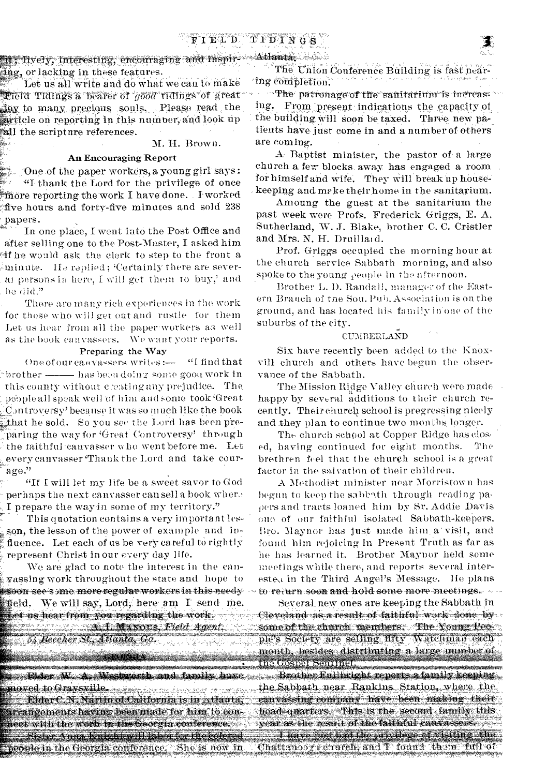X. Hyery, Interesting, encouraging and Inspir- Atlanta ing, or lacking in these features.

Let us all write and do what we can to make  $\mathbf{F}$ ield Tidings a bearer of ' $g$ ood tidings of great flow to many precious souls. Please read the article on reporting in this number, and look up all the scripture references.

### M. H. Brown.

### An Encouraging Report

.'One.of the paper workers,a young girlsays: "I thank the Lord for the privilege of once . More reporting the work I have done. I worked five hours and forty-five minutes and sold  $238$ papers.

In one place, I went into the Post Office and after selling one to the Post-Master, I asked him 4f he would ask the clerk to step to the front a minute. He replied; 'Certainly there are several persons in here, I will get them to buy,' and . he did."

There are many rich experiences in the work for those who will get out and rustle for them Let us hear from all the paper-workers as well as the book canvassers. We want your reports.

### Preparing the Way

One of our canvassers writes:— "I find that brother —— has been dolng some good work in this county without c:eati ng any prejudice. The people all speak well of him and some took 'Great LC.mtroversy' because it was so in uch like the book \_hat he sold. So you see the Lord has been pre paring the way for 'Great Controversy' through the faithful canvasser who went before me. Let every canvasser 'Thank the Lord and take courage."

"If I will let my life be a sweet savor to God perhaps the next canvasser can sell a book wher.• I prepare the way in some of my territory."

This quotation contains a very important lesson, the lesson of the power of example and influence. Let each of us be very careful to rightly represent Christ in our every day life.

We are glad to note the interest in the canvassing work throughout the state and hope to soon-see some more regular workers in this needy Iffeld. We will say, Lord, here am I send me.<br>Het as hear from you regarding the work

54 Beecher St., Atlanta, Ga.

*)koe\*/\*/1•A-*  litoria is de Gravsville<br>- Rider C.N. Narim of Cadifornia is in zelanta. arrangements having been made for him to connect with the worn in the Georgia conference. 8ister Anna Knight v illiabor for the ofered the Library is right the providege of visiting - the rice of visiting the special theory is represented to the Shevis now in Chattanooy courteb, and T found them full of

The Union Conference Building is fast near- $^{\circ}$ ing completion.

The patronage of the sanitarium is increasing. From present indications the capacity of the building will soon be taxed. Three new patients have just come in and a number of others are coming.

A Baptist minister, the pastor of. a large church a few blocks. away has engaged a room for himself and wife. They will break up housekeeping and meke their home in the sanitarium.

Amoung the guest at the sanitarium the past week were Profs. Frederick Griggs, E. A. Sutherland, W. J. Blake, brother C. C. Cristler and Mrs. N. H. Druillaid.

Prof. Griggs occupied the morning hour at the church service Sabbath morning, and also spoke to the young people in the afternoon.

Brother L. B. Randall, manager of the Eastern Brauch of the Sou. Pub. Association is on the ground, and has located his family in'one of the suburbs of the city.

# ${\rm y.\atop CUMBERL}$ AÑD

Six have recently been added to the Knoxvill church and others have begun the observance of the Sabbath.

The Mission Ridge Valley church were made happy by several additions to their church recently. Their church school is progressing nicely and they plan to continue two months longer.

The church school at Copper Ridge has closed, having continued for eight months. The brethren feel that the church school is a great factor in the salvation of their children.

A Methodist minister near Morristown has begun to keep the sabbath through reading papers and tracts loaned him by Sr. Addie Davis ono of our faithful isolated Sabbath-keepers. Bro. Maynor has just made him a visit, and found him rejoicing in Present Truth as far as he has learned it. Brother Maynor held some meetings while there, and reports several intereste.i in the Third Angel's Message. He plans to return soon and hold some more meetings...

Several new ones are keeping the Sabbath in Cleveland as a result of faithful work done by . some of the church members. The Young Pee. y are sel month, besides distributing a large number of the Gospel Sentiner.

the Sabbath near Rankins Station, where the canvassing company have been making their head-gtiagters. This is the second family this r ate,-iiii;svieStiit 4\*e-faithto' -:estei!ii.e.sse